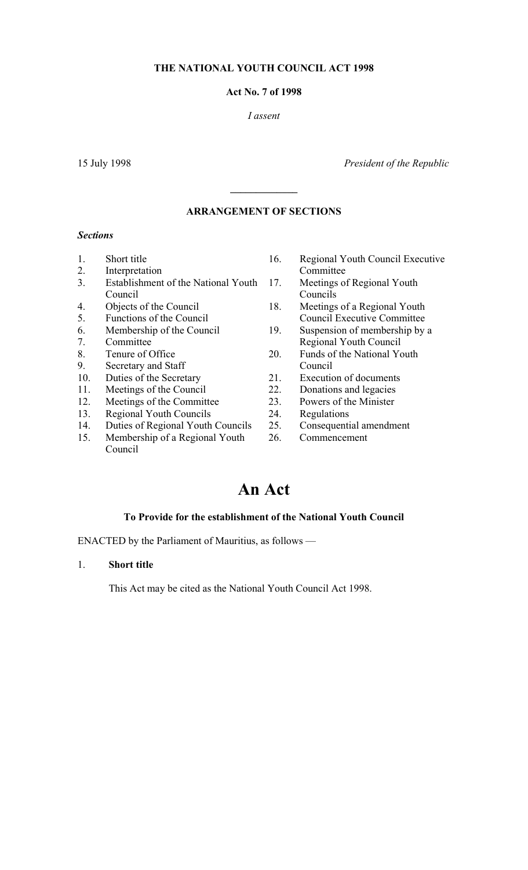## **THE NATIONAL YOUTH COUNCIL ACT 1998**

#### **Act No. 7 of 1998**

#### *I assent*

15 July 1998 *President of the Republic* 

# **ARRANGEMENT OF SECTIONS**

**\_\_\_\_\_\_\_\_\_\_\_\_\_** 

#### *Sections*

- 
- 2. Interpretation Committee
- 3. Establishment of the National Youth Council
- 
- 
- 
- 
- 
- 9. Secretary and Staff Council
- 10. Duties of the Secretary 21. Execution of documents<br>
11. Meetings of the Council 22. Donations and legacies
- 
- 12. Meetings of the Committee 23. Powers of the Minister
- 13. Regional Youth Councils 24. Regulations
- 14. Duties of Regional Youth Councils 25. Consequential amendment
- 15. Membership of a Regional Youth Council
- 1. Short title 16. Regional Youth Council Executive
	- 17. Meetings of Regional Youth Councils
- 4. Objects of the Council 18. Meetings of a Regional Youth 5. Functions of the Council Council Executive Committee
- 6. Membership of the Council 19. Suspension of membership by a 7. Committee Regional Youth Council
- 8. Tenure of Office 20. Funds of the National Youth
	-
	- Meetings of the Council 22. Donations and legacies
		- -
			-
		- 26. Commencement

# **An Act**

#### **To Provide for the establishment of the National Youth Council**

ENACTED by the Parliament of Mauritius, as follows —

## 1. **Short title**

This Act may be cited as the National Youth Council Act 1998.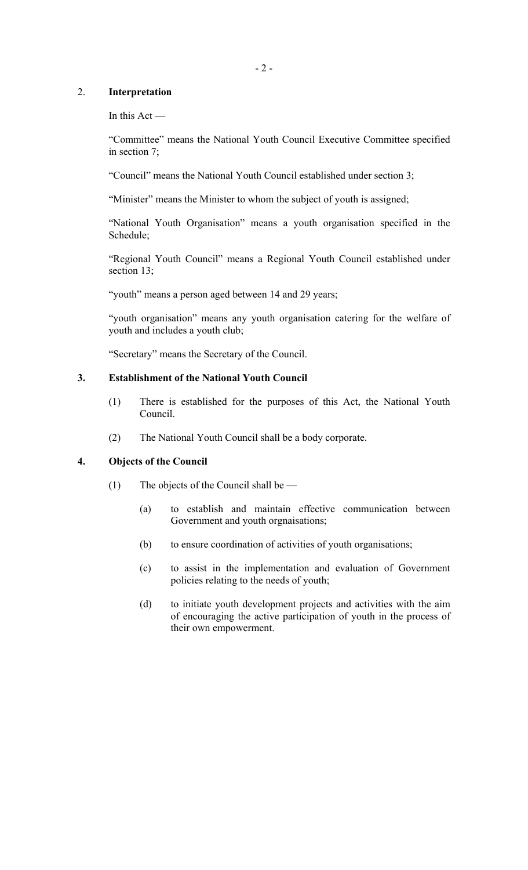# 2. **Interpretation**

In this  $Act -$ 

"Committee" means the National Youth Council Executive Committee specified in section 7;

"Council" means the National Youth Council established under section 3;

"Minister" means the Minister to whom the subject of youth is assigned;

"National Youth Organisation" means a youth organisation specified in the Schedule;

"Regional Youth Council" means a Regional Youth Council established under section 13;

"youth" means a person aged between 14 and 29 years;

"youth organisation" means any youth organisation catering for the welfare of youth and includes a youth club;

"Secretary" means the Secretary of the Council.

# **3. Establishment of the National Youth Council**

- (1) There is established for the purposes of this Act, the National Youth Council.
- (2) The National Youth Council shall be a body corporate.

#### **4. Objects of the Council**

- (1) The objects of the Council shall be
	- (a) to establish and maintain effective communication between Government and youth orgnaisations;
	- (b) to ensure coordination of activities of youth organisations;
	- (c) to assist in the implementation and evaluation of Government policies relating to the needs of youth;
	- (d) to initiate youth development projects and activities with the aim of encouraging the active participation of youth in the process of their own empowerment.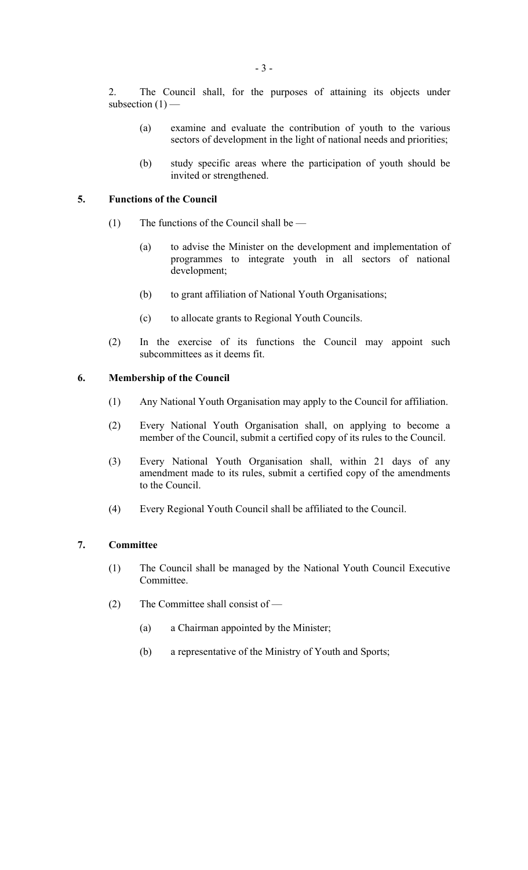2. The Council shall, for the purposes of attaining its objects under subsection  $(1)$  –

- (a) examine and evaluate the contribution of youth to the various sectors of development in the light of national needs and priorities;
- (b) study specific areas where the participation of youth should be invited or strengthened.

# **5. Functions of the Council**

- (1) The functions of the Council shall be  $-$ 
	- (a) to advise the Minister on the development and implementation of programmes to integrate youth in all sectors of national development;
	- (b) to grant affiliation of National Youth Organisations;
	- (c) to allocate grants to Regional Youth Councils.
- (2) In the exercise of its functions the Council may appoint such subcommittees as it deems fit.

# **6. Membership of the Council**

- (1) Any National Youth Organisation may apply to the Council for affiliation.
- (2) Every National Youth Organisation shall, on applying to become a member of the Council, submit a certified copy of its rules to the Council.
- (3) Every National Youth Organisation shall, within 21 days of any amendment made to its rules, submit a certified copy of the amendments to the Council.
- (4) Every Regional Youth Council shall be affiliated to the Council.

#### **7. Committee**

- (1) The Council shall be managed by the National Youth Council Executive Committee.
- (2) The Committee shall consist of
	- (a) a Chairman appointed by the Minister;
	- (b) a representative of the Ministry of Youth and Sports;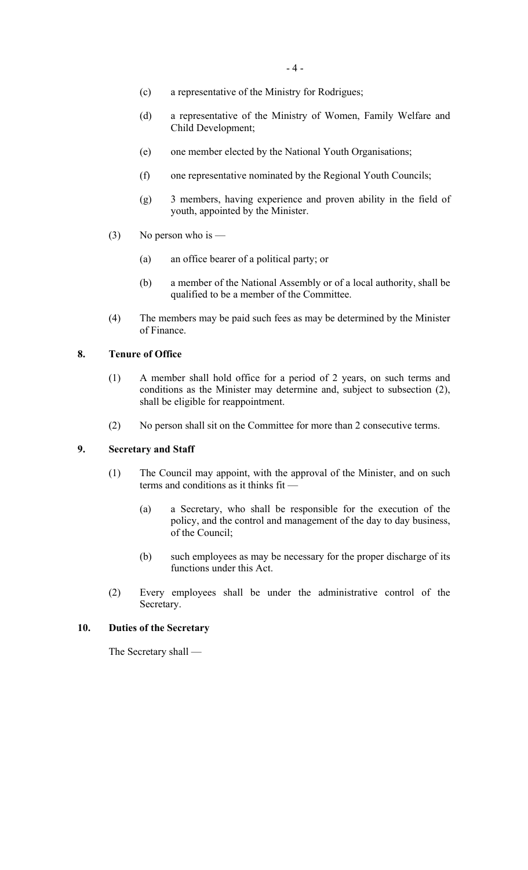- (c) a representative of the Ministry for Rodrigues;
- (d) a representative of the Ministry of Women, Family Welfare and Child Development;
- (e) one member elected by the National Youth Organisations;
- (f) one representative nominated by the Regional Youth Councils;
- (g) 3 members, having experience and proven ability in the field of youth, appointed by the Minister.
- (3) No person who is
	- (a) an office bearer of a political party; or
	- (b) a member of the National Assembly or of a local authority, shall be qualified to be a member of the Committee.
- (4) The members may be paid such fees as may be determined by the Minister of Finance.

## **8. Tenure of Office**

- (1) A member shall hold office for a period of 2 years, on such terms and conditions as the Minister may determine and, subject to subsection (2), shall be eligible for reappointment.
- (2) No person shall sit on the Committee for more than 2 consecutive terms.

#### **9. Secretary and Staff**

- (1) The Council may appoint, with the approval of the Minister, and on such terms and conditions as it thinks fit —
	- (a) a Secretary, who shall be responsible for the execution of the policy, and the control and management of the day to day business, of the Council;
	- (b) such employees as may be necessary for the proper discharge of its functions under this Act.
- (2) Every employees shall be under the administrative control of the Secretary.

#### **10. Duties of the Secretary**

The Secretary shall —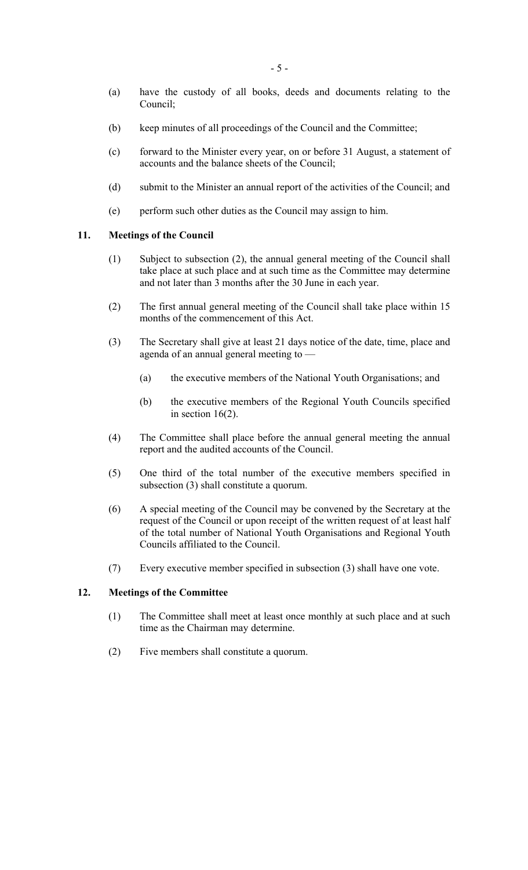- (a) have the custody of all books, deeds and documents relating to the Council;
- (b) keep minutes of all proceedings of the Council and the Committee;
- (c) forward to the Minister every year, on or before 31 August, a statement of accounts and the balance sheets of the Council;
- (d) submit to the Minister an annual report of the activities of the Council; and
- (e) perform such other duties as the Council may assign to him.

#### **11. Meetings of the Council**

- (1) Subject to subsection (2), the annual general meeting of the Council shall take place at such place and at such time as the Committee may determine and not later than 3 months after the 30 June in each year.
- (2) The first annual general meeting of the Council shall take place within 15 months of the commencement of this Act.
- (3) The Secretary shall give at least 21 days notice of the date, time, place and agenda of an annual general meeting to —
	- (a) the executive members of the National Youth Organisations; and
	- (b) the executive members of the Regional Youth Councils specified in section  $16(2)$ .
- (4) The Committee shall place before the annual general meeting the annual report and the audited accounts of the Council.
- (5) One third of the total number of the executive members specified in subsection (3) shall constitute a quorum.
- (6) A special meeting of the Council may be convened by the Secretary at the request of the Council or upon receipt of the written request of at least half of the total number of National Youth Organisations and Regional Youth Councils affiliated to the Council.
- (7) Every executive member specified in subsection (3) shall have one vote.

## **12. Meetings of the Committee**

- (1) The Committee shall meet at least once monthly at such place and at such time as the Chairman may determine.
- (2) Five members shall constitute a quorum.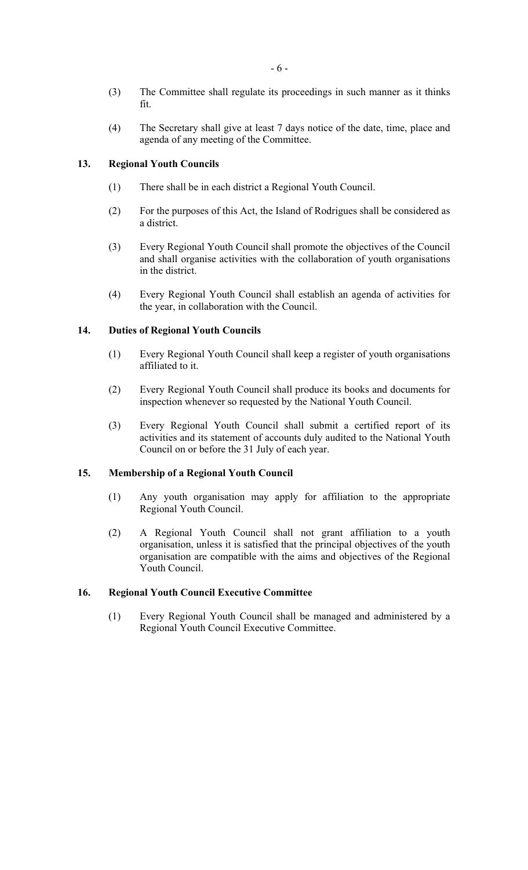- (3) The Committee shall regulate its proceedings in such manner as it thinks fit.
- (4) The Secretary shall give at least 7 days notice of the date, time, place and agenda of any meeting of the Committee.

## **13. Regional Youth Councils**

- (1) There shall be in each district a Regional Youth Council.
- (2) For the purposes of this Act, the Island of Rodrigues shall be considered as a district.
- (3) Every Regional Youth Council shall promote the objectives of the Council and shall organise activities with the collaboration of youth organisations in the district.
- (4) Every Regional Youth Council shall establish an agenda of activities for the year, in collaboration with the Council.

#### **14. Duties of Regional Youth Councils**

- (1) Every Regional Youth Council shall keep a register of youth organisations affiliated to it.
- (2) Every Regional Youth Council shall produce its books and documents for inspection whenever so requested by the National Youth Council.
- (3) Every Regional Youth Council shall submit a certified report of its activities and its statement of accounts duly audited to the National Youth Council on or before the 31 July of each year.

#### **15. Membership of a Regional Youth Council**

- (1) Any youth organisation may apply for affiliation to the appropriate Regional Youth Council.
- (2) A Regional Youth Council shall not grant affiliation to a youth organisation, unless it is satisfied that the principal objectives of the youth organisation are compatible with the aims and objectives of the Regional Youth Council.

#### **16. Regional Youth Council Executive Committee**

(1) Every Regional Youth Council shall be managed and administered by a Regional Youth Council Executive Committee.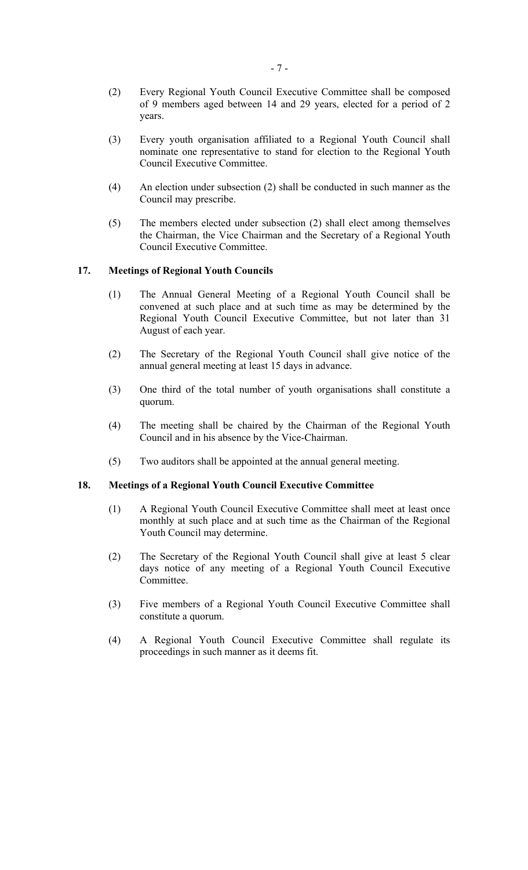- (2) Every Regional Youth Council Executive Committee shall be composed of 9 members aged between 14 and 29 years, elected for a period of 2 years.
- (3) Every youth organisation affiliated to a Regional Youth Council shall nominate one representative to stand for election to the Regional Youth Council Executive Committee.
- (4) An election under subsection (2) shall be conducted in such manner as the Council may prescribe.
- (5) The members elected under subsection (2) shall elect among themselves the Chairman, the Vice Chairman and the Secretary of a Regional Youth Council Executive Committee.

#### **17. Meetings of Regional Youth Councils**

- (1) The Annual General Meeting of a Regional Youth Council shall be convened at such place and at such time as may be determined by the Regional Youth Council Executive Committee, but not later than 31 August of each year.
- (2) The Secretary of the Regional Youth Council shall give notice of the annual general meeting at least 15 days in advance.
- (3) One third of the total number of youth organisations shall constitute a quorum.
- (4) The meeting shall be chaired by the Chairman of the Regional Youth Council and in his absence by the Vice-Chairman.
- (5) Two auditors shall be appointed at the annual general meeting.

#### **18. Meetings of a Regional Youth Council Executive Committee**

- (1) A Regional Youth Council Executive Committee shall meet at least once monthly at such place and at such time as the Chairman of the Regional Youth Council may determine.
- (2) The Secretary of the Regional Youth Council shall give at least 5 clear days notice of any meeting of a Regional Youth Council Executive Committee.
- (3) Five members of a Regional Youth Council Executive Committee shall constitute a quorum.
- (4) A Regional Youth Council Executive Committee shall regulate its proceedings in such manner as it deems fit.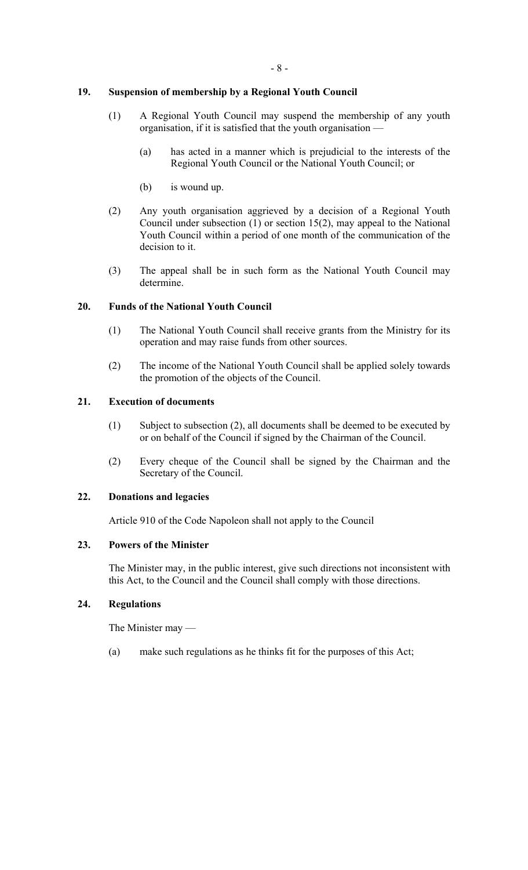# **19. Suspension of membership by a Regional Youth Council**

- (1) A Regional Youth Council may suspend the membership of any youth organisation, if it is satisfied that the youth organisation —
	- (a) has acted in a manner which is prejudicial to the interests of the Regional Youth Council or the National Youth Council; or
	- (b) is wound up.
- (2) Any youth organisation aggrieved by a decision of a Regional Youth Council under subsection (1) or section 15(2), may appeal to the National Youth Council within a period of one month of the communication of the decision to it.
- (3) The appeal shall be in such form as the National Youth Council may determine.

# **20. Funds of the National Youth Council**

- (1) The National Youth Council shall receive grants from the Ministry for its operation and may raise funds from other sources.
- (2) The income of the National Youth Council shall be applied solely towards the promotion of the objects of the Council.

# **21. Execution of documents**

- (1) Subject to subsection (2), all documents shall be deemed to be executed by or on behalf of the Council if signed by the Chairman of the Council.
- (2) Every cheque of the Council shall be signed by the Chairman and the Secretary of the Council.

#### **22. Donations and legacies**

Article 910 of the Code Napoleon shall not apply to the Council

#### **23. Powers of the Minister**

The Minister may, in the public interest, give such directions not inconsistent with this Act, to the Council and the Council shall comply with those directions.

## **24. Regulations**

The Minister may —

(a) make such regulations as he thinks fit for the purposes of this Act;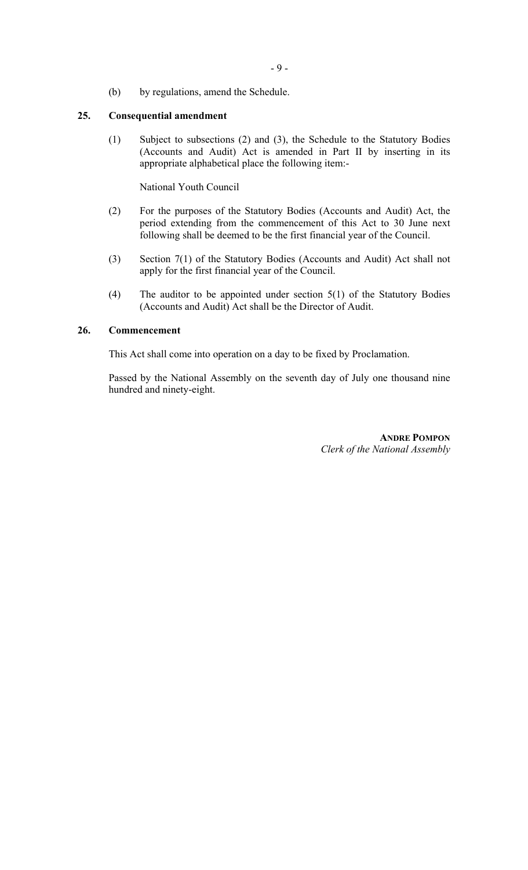(b) by regulations, amend the Schedule.

#### **25. Consequential amendment**

(1) Subject to subsections (2) and (3), the Schedule to the Statutory Bodies (Accounts and Audit) Act is amended in Part II by inserting in its appropriate alphabetical place the following item:-

National Youth Council

- (2) For the purposes of the Statutory Bodies (Accounts and Audit) Act, the period extending from the commencement of this Act to 30 June next following shall be deemed to be the first financial year of the Council.
- (3) Section 7(1) of the Statutory Bodies (Accounts and Audit) Act shall not apply for the first financial year of the Council.
- (4) The auditor to be appointed under section 5(1) of the Statutory Bodies (Accounts and Audit) Act shall be the Director of Audit.

## **26. Commencement**

This Act shall come into operation on a day to be fixed by Proclamation.

Passed by the National Assembly on the seventh day of July one thousand nine hundred and ninety-eight.

> **ANDRE POMPON** *Clerk of the National Assembly*